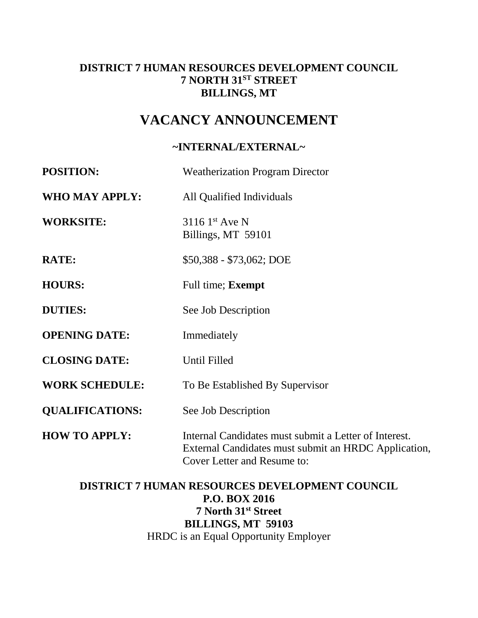# **DISTRICT 7 HUMAN RESOURCES DEVELOPMENT COUNCIL 7 NORTH 31ST STREET BILLINGS, MT**

# **VACANCY ANNOUNCEMENT**

## **~INTERNAL/EXTERNAL~**

| <b>POSITION:</b>       | <b>Weatherization Program Director</b>                                                                                                              |  |
|------------------------|-----------------------------------------------------------------------------------------------------------------------------------------------------|--|
| <b>WHO MAY APPLY:</b>  | All Qualified Individuals                                                                                                                           |  |
| <b>WORKSITE:</b>       | $31161$ <sup>st</sup> Ave N<br>Billings, MT 59101                                                                                                   |  |
| <b>RATE:</b>           | \$50,388 - \$73,062; DOE                                                                                                                            |  |
| <b>HOURS:</b>          | Full time; <b>Exempt</b>                                                                                                                            |  |
| <b>DUTIES:</b>         | See Job Description                                                                                                                                 |  |
| <b>OPENING DATE:</b>   | Immediately                                                                                                                                         |  |
| <b>CLOSING DATE:</b>   | Until Filled                                                                                                                                        |  |
| <b>WORK SCHEDULE:</b>  | To Be Established By Supervisor                                                                                                                     |  |
| <b>QUALIFICATIONS:</b> | See Job Description                                                                                                                                 |  |
| <b>HOW TO APPLY:</b>   | Internal Candidates must submit a Letter of Interest.<br>External Candidates must submit an HRDC Application,<br><b>Cover Letter and Resume to:</b> |  |

# **DISTRICT 7 HUMAN RESOURCES DEVELOPMENT COUNCIL P.O. BOX 2016 7 North 31st Street BILLINGS, MT 59103** HRDC is an Equal Opportunity Employer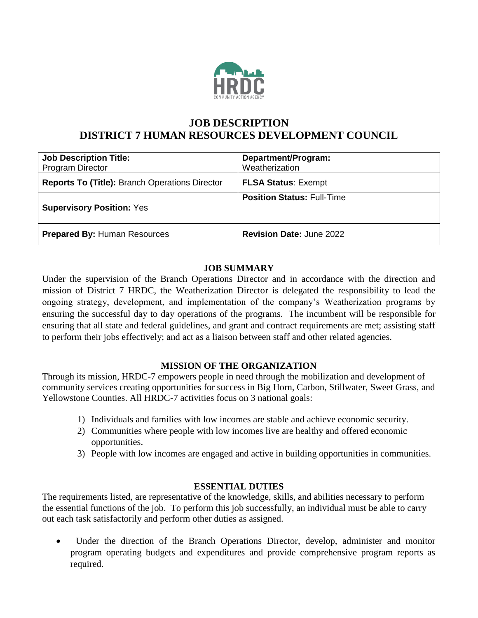

# **JOB DESCRIPTION DISTRICT 7 HUMAN RESOURCES DEVELOPMENT COUNCIL**

| <b>Job Description Title:</b><br><b>Program Director</b> | Department/Program:<br>Weatherization |
|----------------------------------------------------------|---------------------------------------|
| <b>Reports To (Title): Branch Operations Director</b>    | <b>FLSA Status: Exempt</b>            |
| <b>Supervisory Position: Yes</b>                         | <b>Position Status: Full-Time</b>     |
| <b>Prepared By: Human Resources</b>                      | <b>Revision Date: June 2022</b>       |

### **JOB SUMMARY**

Under the supervision of the Branch Operations Director and in accordance with the direction and mission of District 7 HRDC, the Weatherization Director is delegated the responsibility to lead the ongoing strategy, development, and implementation of the company's Weatherization programs by ensuring the successful day to day operations of the programs. The incumbent will be responsible for ensuring that all state and federal guidelines, and grant and contract requirements are met; assisting staff to perform their jobs effectively; and act as a liaison between staff and other related agencies.

### **MISSION OF THE ORGANIZATION**

Through its mission, HRDC-7 empowers people in need through the mobilization and development of community services creating opportunities for success in Big Horn, Carbon, Stillwater, Sweet Grass, and Yellowstone Counties. All HRDC-7 activities focus on 3 national goals:

- 1) Individuals and families with low incomes are stable and achieve economic security.
- 2) Communities where people with low incomes live are healthy and offered economic opportunities.
- 3) People with low incomes are engaged and active in building opportunities in communities.

#### **ESSENTIAL DUTIES**

The requirements listed, are representative of the knowledge, skills, and abilities necessary to perform the essential functions of the job. To perform this job successfully, an individual must be able to carry out each task satisfactorily and perform other duties as assigned.

 Under the direction of the Branch Operations Director, develop, administer and monitor program operating budgets and expenditures and provide comprehensive program reports as required.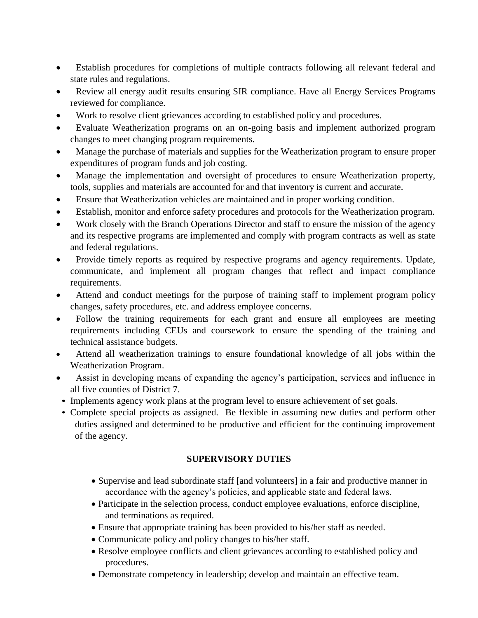- Establish procedures for completions of multiple contracts following all relevant federal and state rules and regulations.
- Review all energy audit results ensuring SIR compliance. Have all Energy Services Programs reviewed for compliance.
- Work to resolve client grievances according to established policy and procedures.
- Evaluate Weatherization programs on an on-going basis and implement authorized program changes to meet changing program requirements.
- Manage the purchase of materials and supplies for the Weatherization program to ensure proper expenditures of program funds and job costing.
- Manage the implementation and oversight of procedures to ensure Weatherization property, tools, supplies and materials are accounted for and that inventory is current and accurate.
- Ensure that Weatherization vehicles are maintained and in proper working condition.
- Establish, monitor and enforce safety procedures and protocols for the Weatherization program.
- Work closely with the Branch Operations Director and staff to ensure the mission of the agency and its respective programs are implemented and comply with program contracts as well as state and federal regulations.
- Provide timely reports as required by respective programs and agency requirements. Update, communicate, and implement all program changes that reflect and impact compliance requirements.
- Attend and conduct meetings for the purpose of training staff to implement program policy changes, safety procedures, etc. and address employee concerns.
- Follow the training requirements for each grant and ensure all employees are meeting requirements including CEUs and coursework to ensure the spending of the training and technical assistance budgets.
- Attend all weatherization trainings to ensure foundational knowledge of all jobs within the Weatherization Program.
- Assist in developing means of expanding the agency's participation, services and influence in all five counties of District 7.
- Implements agency work plans at the program level to ensure achievement of set goals.
- Complete special projects as assigned. Be flexible in assuming new duties and perform other duties assigned and determined to be productive and efficient for the continuing improvement of the agency.

### **SUPERVISORY DUTIES**

- Supervise and lead subordinate staff [and volunteers] in a fair and productive manner in accordance with the agency's policies, and applicable state and federal laws.
- Participate in the selection process, conduct employee evaluations, enforce discipline, and terminations as required.
- Ensure that appropriate training has been provided to his/her staff as needed.
- Communicate policy and policy changes to his/her staff.
- Resolve employee conflicts and client grievances according to established policy and procedures.
- Demonstrate competency in leadership; develop and maintain an effective team.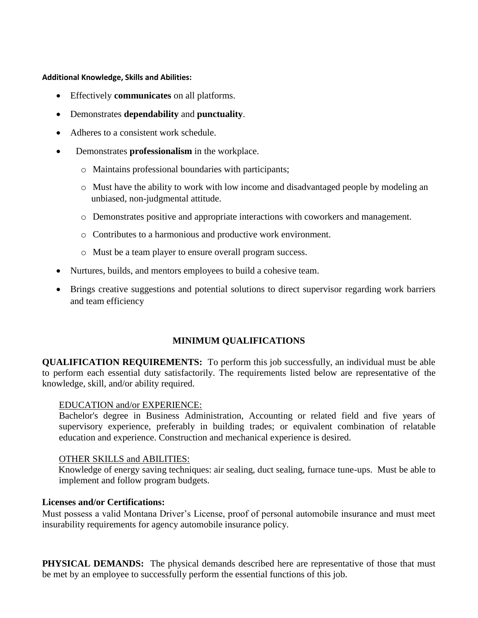**Additional Knowledge, Skills and Abilities:**

- Effectively **communicates** on all platforms.
- Demonstrates **dependability** and **punctuality**.
- Adheres to a consistent work schedule.
- Demonstrates **professionalism** in the workplace.
	- o Maintains professional boundaries with participants;
	- o Must have the ability to work with low income and disadvantaged people by modeling an unbiased, non-judgmental attitude.
	- o Demonstrates positive and appropriate interactions with coworkers and management.
	- o Contributes to a harmonious and productive work environment.
	- o Must be a team player to ensure overall program success.
- Nurtures, builds, and mentors employees to build a cohesive team.
- Brings creative suggestions and potential solutions to direct supervisor regarding work barriers and team efficiency

### **MINIMUM QUALIFICATIONS**

**QUALIFICATION REQUIREMENTS:** To perform this job successfully, an individual must be able to perform each essential duty satisfactorily. The requirements listed below are representative of the knowledge, skill, and/or ability required.

#### EDUCATION and/or EXPERIENCE:

Bachelor's degree in Business Administration, Accounting or related field and five years of supervisory experience, preferably in building trades; or equivalent combination of relatable education and experience. Construction and mechanical experience is desired.

#### OTHER SKILLS and ABILITIES:

 Knowledge of energy saving techniques: air sealing, duct sealing, furnace tune-ups. Must be able to implement and follow program budgets.

#### **Licenses and/or Certifications:**

Must possess a valid Montana Driver's License, proof of personal automobile insurance and must meet insurability requirements for agency automobile insurance policy.

**PHYSICAL DEMANDS:** The physical demands described here are representative of those that must be met by an employee to successfully perform the essential functions of this job.